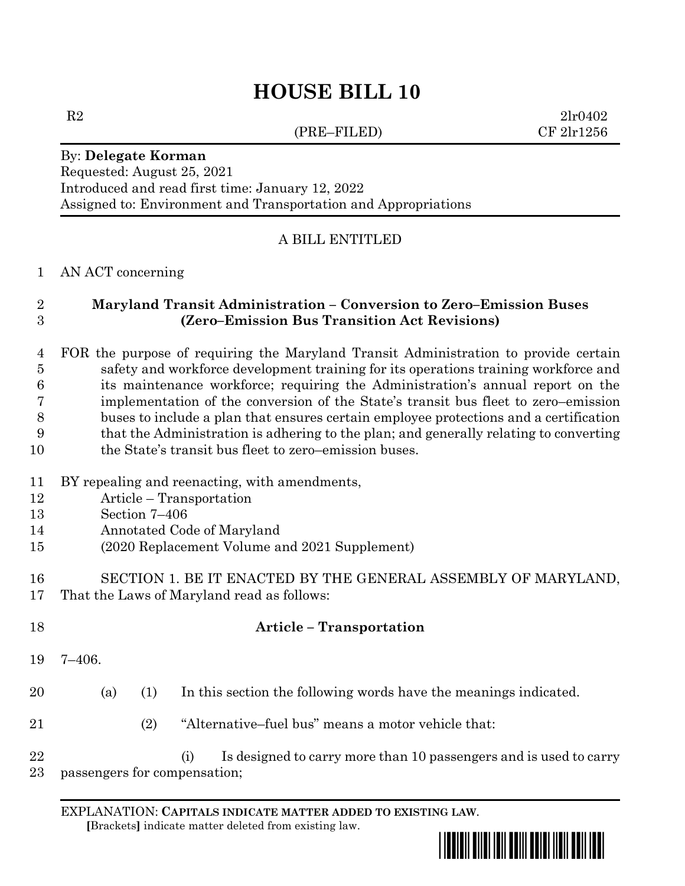# **HOUSE BILL 10**

(PRE–FILED) CF 2lr1256

 $R2$   $2lr0402$ 

## By: **Delegate Korman**

Requested: August 25, 2021 Introduced and read first time: January 12, 2022 Assigned to: Environment and Transportation and Appropriations

#### A BILL ENTITLED

#### AN ACT concerning

#### **Maryland Transit Administration – Conversion to Zero–Emission Buses (Zero–Emission Bus Transition Act Revisions)**

 FOR the purpose of requiring the Maryland Transit Administration to provide certain safety and workforce development training for its operations training workforce and its maintenance workforce; requiring the Administration's annual report on the implementation of the conversion of the State's transit bus fleet to zero–emission buses to include a plan that ensures certain employee protections and a certification that the Administration is adhering to the plan; and generally relating to converting 10 the State's transit bus fleet to zero–emission buses.

#### BY repealing and reenacting, with amendments,

- Article Transportation
- Section 7–406
- Annotated Code of Maryland
- (2020 Replacement Volume and 2021 Supplement)
- SECTION 1. BE IT ENACTED BY THE GENERAL ASSEMBLY OF MARYLAND, That the Laws of Maryland read as follows:

| 18       |                              |     | <b>Article - Transportation</b>                                          |
|----------|------------------------------|-----|--------------------------------------------------------------------------|
| 19       | 7–406.                       |     |                                                                          |
| 20       | (a)                          | (1) | In this section the following words have the meanings indicated.         |
| 21       |                              | (2) | "Alternative-fuel bus" means a motor vehicle that:                       |
| 22<br>23 | passengers for compensation; |     | Is designed to carry more than 10 passengers and is used to carry<br>(i) |

EXPLANATION: **CAPITALS INDICATE MATTER ADDED TO EXISTING LAW**.  **[**Brackets**]** indicate matter deleted from existing law.

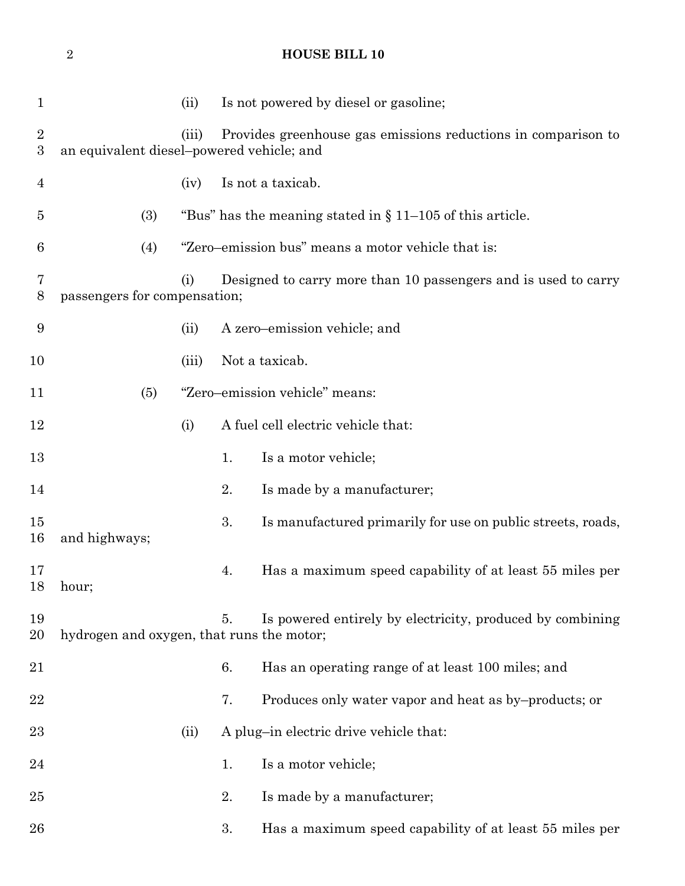1 (ii) Is not powered by diesel or gasoline; (iii) Provides greenhouse gas emissions reductions in comparison to an equivalent diesel–powered vehicle; and (iv) Is not a taxicab. (3) "Bus" has the meaning stated in § 11–105 of this article. (4) "Zero–emission bus" means a motor vehicle that is: (i) Designed to carry more than 10 passengers and is used to carry passengers for compensation; (ii) A zero–emission vehicle; and (iii) Not a taxicab. (5) "Zero–emission vehicle" means: (i) A fuel cell electric vehicle that: 13 1. Is a motor vehicle; 14 2. Is made by a manufacturer; 15 3. Is manufactured primarily for use on public streets, roads, and highways; 4. Has a maximum speed capability of at least 55 miles per hour; 5. Is powered entirely by electricity, produced by combining hydrogen and oxygen, that runs the motor; 6. Has an operating range of at least 100 miles; and 22 7. Produces only water vapor and heat as by–products; or 23 (ii) A plug-in electric drive vehicle that: 24 1. Is a motor vehicle: 25 2. Is made by a manufacturer; 3. Has a maximum speed capability of at least 55 miles per

**HOUSE BILL 10**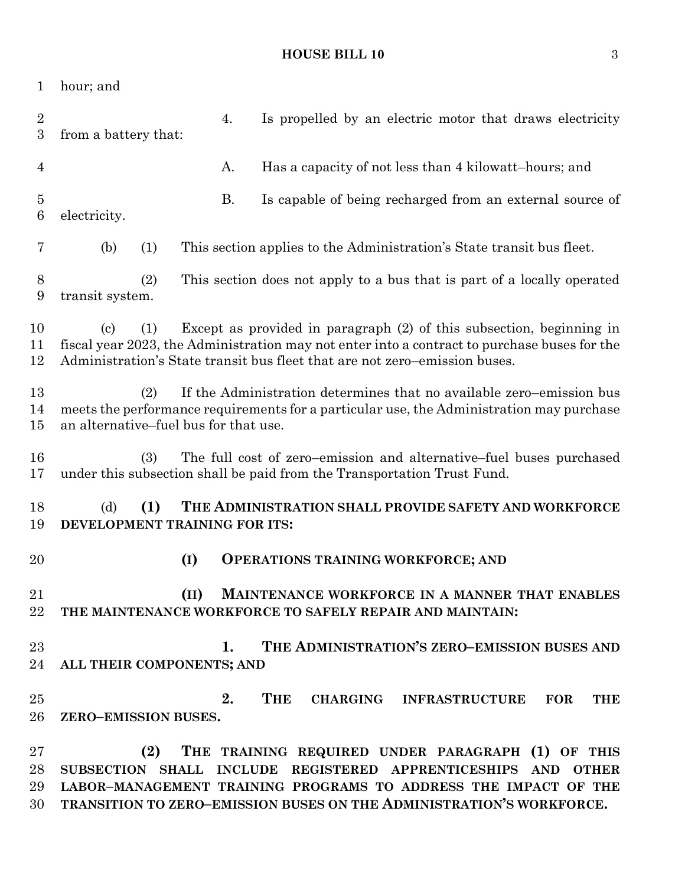### **HOUSE BILL 10** 3

| 1                                  | hour; and                                                                                                                                                                                                        |      |                                                                                                                                                                                                                                                    |  |  |  |
|------------------------------------|------------------------------------------------------------------------------------------------------------------------------------------------------------------------------------------------------------------|------|----------------------------------------------------------------------------------------------------------------------------------------------------------------------------------------------------------------------------------------------------|--|--|--|
| $\overline{2}$<br>$\boldsymbol{3}$ | from a battery that:                                                                                                                                                                                             | 4.   | Is propelled by an electric motor that draws electricity                                                                                                                                                                                           |  |  |  |
| $\overline{4}$                     |                                                                                                                                                                                                                  | Α.   | Has a capacity of not less than 4 kilowatt-hours; and                                                                                                                                                                                              |  |  |  |
| $\overline{5}$<br>$\boldsymbol{6}$ | electricity.                                                                                                                                                                                                     | Β.   | Is capable of being recharged from an external source of                                                                                                                                                                                           |  |  |  |
| 7                                  | (b)<br>(1)                                                                                                                                                                                                       |      | This section applies to the Administration's State transit bus fleet.                                                                                                                                                                              |  |  |  |
| 8<br>9                             | (2)<br>transit system.                                                                                                                                                                                           |      | This section does not apply to a bus that is part of a locally operated                                                                                                                                                                            |  |  |  |
| 10<br>11<br>12                     | (1)<br>$\left( \mathrm{c} \right)$                                                                                                                                                                               |      | Except as provided in paragraph (2) of this subsection, beginning in<br>fiscal year 2023, the Administration may not enter into a contract to purchase buses for the<br>Administration's State transit bus fleet that are not zero-emission buses. |  |  |  |
| 13<br>14<br>15                     | If the Administration determines that no available zero–emission bus<br>(2)<br>meets the performance requirements for a particular use, the Administration may purchase<br>an alternative–fuel bus for that use. |      |                                                                                                                                                                                                                                                    |  |  |  |
| 16<br>17                           | (3)                                                                                                                                                                                                              |      | The full cost of zero–emission and alternative–fuel buses purchased<br>under this subsection shall be paid from the Transportation Trust Fund.                                                                                                     |  |  |  |
| 18<br>19                           | (d)<br>THE ADMINISTRATION SHALL PROVIDE SAFETY AND WORKFORCE<br>(1)<br>DEVELOPMENT TRAINING FOR ITS:                                                                                                             |      |                                                                                                                                                                                                                                                    |  |  |  |
| 20                                 |                                                                                                                                                                                                                  | (I)  | <b>OPERATIONS TRAINING WORKFORCE; AND</b>                                                                                                                                                                                                          |  |  |  |
| 21<br>22                           |                                                                                                                                                                                                                  | (II) | MAINTENANCE WORKFORCE IN A MANNER THAT ENABLES<br>THE MAINTENANCE WORKFORCE TO SAFELY REPAIR AND MAINTAIN:                                                                                                                                         |  |  |  |
| 23                                 |                                                                                                                                                                                                                  | 1.   | THE ADMINISTRATION'S ZERO-EMISSION BUSES AND                                                                                                                                                                                                       |  |  |  |
| 24                                 | ALL THEIR COMPONENTS; AND                                                                                                                                                                                        |      |                                                                                                                                                                                                                                                    |  |  |  |
| 25                                 |                                                                                                                                                                                                                  | 2.   | THE<br>CHARGING INFRASTRUCTURE FOR<br><b>THE</b>                                                                                                                                                                                                   |  |  |  |
| 26                                 | ZERO-EMISSION BUSES.                                                                                                                                                                                             |      |                                                                                                                                                                                                                                                    |  |  |  |
| 27                                 | (2)                                                                                                                                                                                                              |      | THE TRAINING REQUIRED UNDER PARAGRAPH (1) OF THIS                                                                                                                                                                                                  |  |  |  |
| 28                                 |                                                                                                                                                                                                                  |      | SUBSECTION SHALL INCLUDE REGISTERED APPRENTICESHIPS AND OTHER                                                                                                                                                                                      |  |  |  |
| 29<br>30                           |                                                                                                                                                                                                                  |      | LABOR-MANAGEMENT TRAINING PROGRAMS TO ADDRESS THE IMPACT OF THE<br>TRANSITION TO ZERO-EMISSION BUSES ON THE ADMINISTRATION'S WORKFORCE.                                                                                                            |  |  |  |
|                                    |                                                                                                                                                                                                                  |      |                                                                                                                                                                                                                                                    |  |  |  |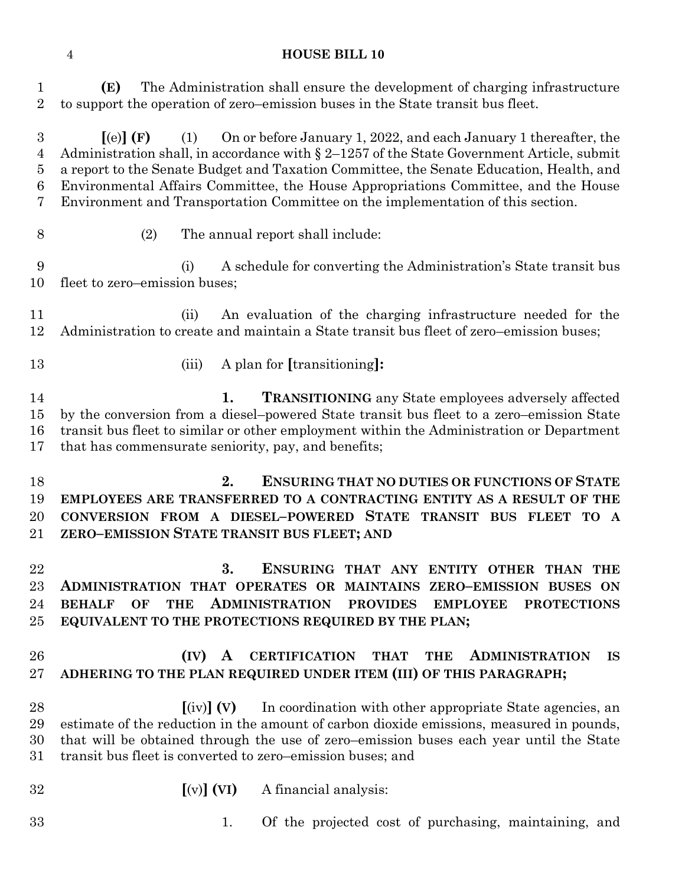#### **HOUSE BILL 10**

 **(E)** The Administration shall ensure the development of charging infrastructure to support the operation of zero–emission buses in the State transit bus fleet.

 **[**(e)**] (F)** (1) On or before January 1, 2022, and each January 1 thereafter, the Administration shall, in accordance with § 2–1257 of the State Government Article, submit a report to the Senate Budget and Taxation Committee, the Senate Education, Health, and Environmental Affairs Committee, the House Appropriations Committee, and the House Environment and Transportation Committee on the implementation of this section.

- 
- (2) The annual report shall include:

 (i) A schedule for converting the Administration's State transit bus fleet to zero–emission buses;

 (ii) An evaluation of the charging infrastructure needed for the Administration to create and maintain a State transit bus fleet of zero–emission buses;

- 
- (iii) A plan for **[**transitioning**]:**

 **1. TRANSITIONING** any State employees adversely affected by the conversion from a diesel–powered State transit bus fleet to a zero–emission State transit bus fleet to similar or other employment within the Administration or Department that has commensurate seniority, pay, and benefits;

 **2. ENSURING THAT NO DUTIES OR FUNCTIONS OF STATE EMPLOYEES ARE TRANSFERRED TO A CONTRACTING ENTITY AS A RESULT OF THE CONVERSION FROM A DIESEL–POWERED STATE TRANSIT BUS FLEET TO A ZERO–EMISSION STATE TRANSIT BUS FLEET; AND**

 **3. ENSURING THAT ANY ENTITY OTHER THAN THE ADMINISTRATION THAT OPERATES OR MAINTAINS ZERO–EMISSION BUSES ON BEHALF OF THE ADMINISTRATION PROVIDES EMPLOYEE PROTECTIONS EQUIVALENT TO THE PROTECTIONS REQUIRED BY THE PLAN;**

### **(IV) A CERTIFICATION THAT THE ADMINISTRATION IS ADHERING TO THE PLAN REQUIRED UNDER ITEM (III) OF THIS PARAGRAPH;**

 **[**(iv)**] (V)** In coordination with other appropriate State agencies, an estimate of the reduction in the amount of carbon dioxide emissions, measured in pounds, that will be obtained through the use of zero–emission buses each year until the State transit bus fleet is converted to zero–emission buses; and

- **[**(v)**] (VI)** A financial analysis:
- 
- 1. Of the projected cost of purchasing, maintaining, and